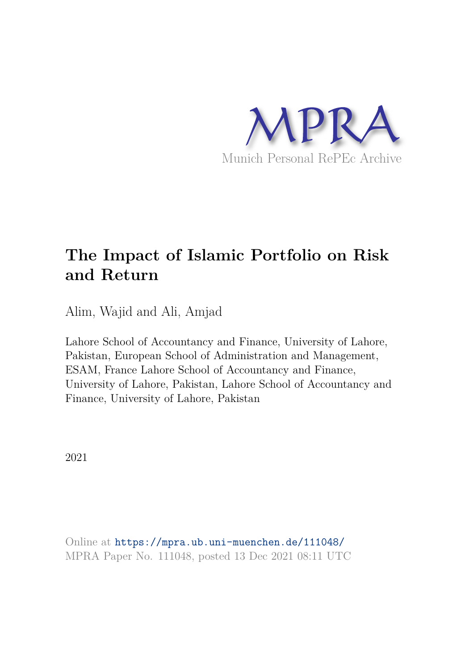

# **The Impact of Islamic Portfolio on Risk and Return**

Alim, Wajid and Ali, Amjad

Lahore School of Accountancy and Finance, University of Lahore, Pakistan, European School of Administration and Management, ESAM, France Lahore School of Accountancy and Finance, University of Lahore, Pakistan, Lahore School of Accountancy and Finance, University of Lahore, Pakistan

2021

Online at https://mpra.ub.uni-muenchen.de/111048/ MPRA Paper No. 111048, posted 13 Dec 2021 08:11 UTC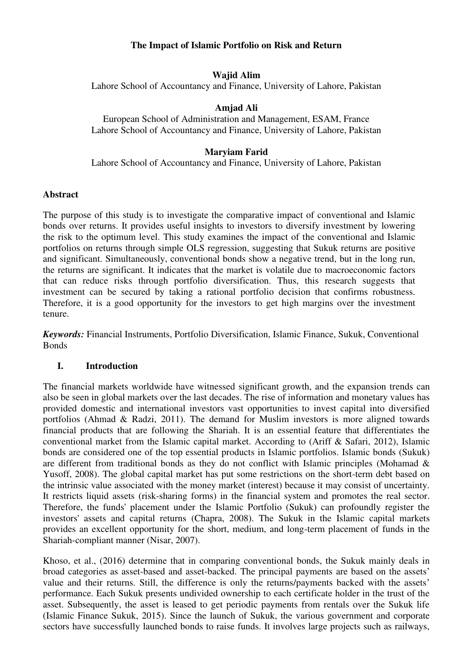# **The Impact of Islamic Portfolio on Risk and Return**

# **Wajid Alim**

Lahore School of Accountancy and Finance, University of Lahore, Pakistan

# **Amjad Ali**

European School of Administration and Management, ESAM, France Lahore School of Accountancy and Finance, University of Lahore, Pakistan

# **Maryiam Farid**

Lahore School of Accountancy and Finance, University of Lahore, Pakistan

#### **Abstract**

The purpose of this study is to investigate the comparative impact of conventional and Islamic bonds over returns. It provides useful insights to investors to diversify investment by lowering the risk to the optimum level. This study examines the impact of the conventional and Islamic portfolios on returns through simple OLS regression, suggesting that Sukuk returns are positive and significant. Simultaneously, conventional bonds show a negative trend, but in the long run, the returns are significant. It indicates that the market is volatile due to macroeconomic factors that can reduce risks through portfolio diversification. Thus, this research suggests that investment can be secured by taking a rational portfolio decision that confirms robustness. Therefore, it is a good opportunity for the investors to get high margins over the investment tenure.

*Keywords:* Financial Instruments, Portfolio Diversification, Islamic Finance, Sukuk, Conventional Bonds

# **I. Introduction**

The financial markets worldwide have witnessed significant growth, and the expansion trends can also be seen in global markets over the last decades. The rise of information and monetary values has provided domestic and international investors vast opportunities to invest capital into diversified portfolios (Ahmad & Radzi, 2011). The demand for Muslim investors is more aligned towards financial products that are following the Shariah. It is an essential feature that differentiates the conventional market from the Islamic capital market. According to (Ariff & Safari, 2012), Islamic bonds are considered one of the top essential products in Islamic portfolios. Islamic bonds (Sukuk) are different from traditional bonds as they do not conflict with Islamic principles (Mohamad & Yusoff, 2008). The global capital market has put some restrictions on the short-term debt based on the intrinsic value associated with the money market (interest) because it may consist of uncertainty. It restricts liquid assets (risk-sharing forms) in the financial system and promotes the real sector. Therefore, the funds' placement under the Islamic Portfolio (Sukuk) can profoundly register the investors' assets and capital returns (Chapra, 2008). The Sukuk in the Islamic capital markets provides an excellent opportunity for the short, medium, and long-term placement of funds in the Shariah-compliant manner (Nisar, 2007).

Khoso, et al., (2016) determine that in comparing conventional bonds, the Sukuk mainly deals in broad categories as asset-based and asset-backed. The principal payments are based on the assets' value and their returns. Still, the difference is only the returns/payments backed with the assets' performance. Each Sukuk presents undivided ownership to each certificate holder in the trust of the asset. Subsequently, the asset is leased to get periodic payments from rentals over the Sukuk life (Islamic Finance Sukuk, 2015). Since the launch of Sukuk, the various government and corporate sectors have successfully launched bonds to raise funds. It involves large projects such as railways,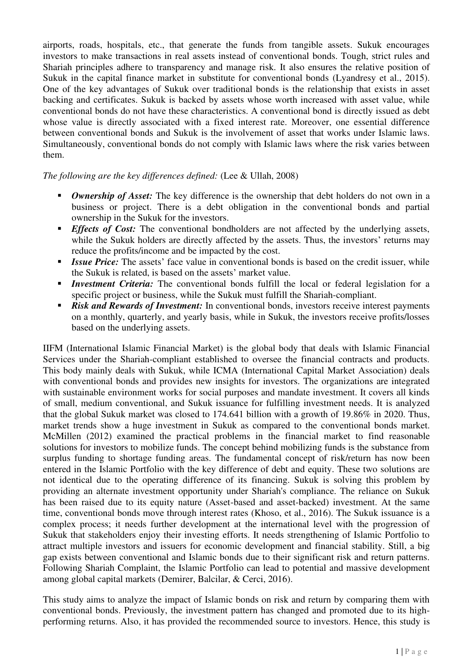airports, roads, hospitals, etc., that generate the funds from tangible assets. Sukuk encourages investors to make transactions in real assets instead of conventional bonds. Tough, strict rules and Shariah principles adhere to transparency and manage risk. It also ensures the relative position of Sukuk in the capital finance market in substitute for conventional bonds (Lyandresy et al., 2015). One of the key advantages of Sukuk over traditional bonds is the relationship that exists in asset backing and certificates. Sukuk is backed by assets whose worth increased with asset value, while conventional bonds do not have these characteristics. A conventional bond is directly issued as debt whose value is directly associated with a fixed interest rate. Moreover, one essential difference between conventional bonds and Sukuk is the involvement of asset that works under Islamic laws. Simultaneously, conventional bonds do not comply with Islamic laws where the risk varies between them.

# *The following are the key differences defined:* (Lee & Ullah, 2008)

- **•** *Ownership of Asset:* The key difference is the ownership that debt holders do not own in a business or project. There is a debt obligation in the conventional bonds and partial ownership in the Sukuk for the investors.
- **Effects of Cost:** The conventional bondholders are not affected by the underlying assets, while the Sukuk holders are directly affected by the assets. Thus, the investors' returns may reduce the profits/income and be impacted by the cost.
- **Example 15** *Issue Price:* The assets' face value in conventional bonds is based on the credit issuer, while the Sukuk is related, is based on the assets' market value.
- *Investment Criteria:* The conventional bonds fulfill the local or federal legislation for a specific project or business, while the Sukuk must fulfill the Shariah-compliant.
- **E Risk and Rewards of Investment:** In conventional bonds, investors receive interest payments on a monthly, quarterly, and yearly basis, while in Sukuk, the investors receive profits/losses based on the underlying assets.

IIFM (International Islamic Financial Market) is the global body that deals with Islamic Financial Services under the Shariah-compliant established to oversee the financial contracts and products. This body mainly deals with Sukuk, while ICMA (International Capital Market Association) deals with conventional bonds and provides new insights for investors. The organizations are integrated with sustainable environment works for social purposes and mandate investment. It covers all kinds of small, medium conventional, and Sukuk issuance for fulfilling investment needs. It is analyzed that the global Sukuk market was closed to 174.641 billion with a growth of 19.86% in 2020. Thus, market trends show a huge investment in Sukuk as compared to the conventional bonds market. McMillen (2012) examined the practical problems in the financial market to find reasonable solutions for investors to mobilize funds. The concept behind mobilizing funds is the substance from surplus funding to shortage funding areas. The fundamental concept of risk/return has now been entered in the Islamic Portfolio with the key difference of debt and equity. These two solutions are not identical due to the operating difference of its financing. Sukuk is solving this problem by providing an alternate investment opportunity under Shariah's compliance. The reliance on Sukuk has been raised due to its equity nature (Asset-based and asset-backed) investment. At the same time, conventional bonds move through interest rates (Khoso, et al., 2016). The Sukuk issuance is a complex process; it needs further development at the international level with the progression of Sukuk that stakeholders enjoy their investing efforts. It needs strengthening of Islamic Portfolio to attract multiple investors and issuers for economic development and financial stability. Still, a big gap exists between conventional and Islamic bonds due to their significant risk and return patterns. Following Shariah Complaint, the Islamic Portfolio can lead to potential and massive development among global capital markets (Demirer, Balcilar, & Cerci, 2016).

This study aims to analyze the impact of Islamic bonds on risk and return by comparing them with conventional bonds. Previously, the investment pattern has changed and promoted due to its highperforming returns. Also, it has provided the recommended source to investors. Hence, this study is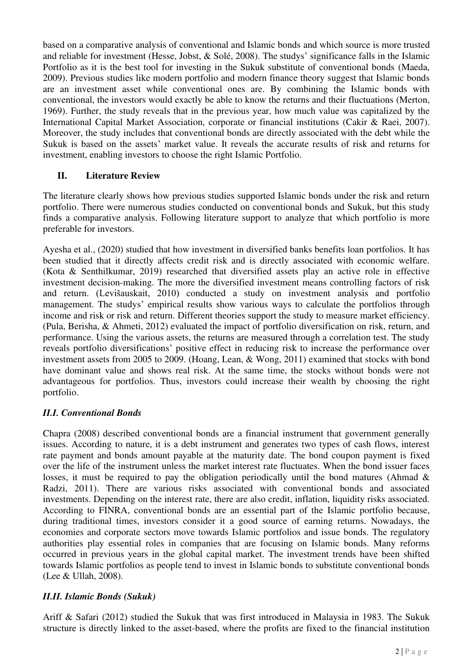based on a comparative analysis of conventional and Islamic bonds and which source is more trusted and reliable for investment (Hesse, Jobst, & Solé, 2008). The studys' significance falls in the Islamic Portfolio as it is the best tool for investing in the Sukuk substitute of conventional bonds (Maeda, 2009). Previous studies like modern portfolio and modern finance theory suggest that Islamic bonds are an investment asset while conventional ones are. By combining the Islamic bonds with conventional, the investors would exactly be able to know the returns and their fluctuations (Merton, 1969). Further, the study reveals that in the previous year, how much value was capitalized by the International Capital Market Association, corporate or financial institutions (Cakir & Raei, 2007). Moreover, the study includes that conventional bonds are directly associated with the debt while the Sukuk is based on the assets' market value. It reveals the accurate results of risk and returns for investment, enabling investors to choose the right Islamic Portfolio.

# **II. Literature Review**

The literature clearly shows how previous studies supported Islamic bonds under the risk and return portfolio. There were numerous studies conducted on conventional bonds and Sukuk, but this study finds a comparative analysis. Following literature support to analyze that which portfolio is more preferable for investors.

Ayesha et al., (2020) studied that how investment in diversified banks benefits loan portfolios. It has been studied that it directly affects credit risk and is directly associated with economic welfare. (Kota & Senthilkumar, 2019) researched that diversified assets play an active role in effective investment decision-making. The more the diversified investment means controlling factors of risk and return. (Levišauskait, 2010) conducted a study on investment analysis and portfolio management. The studys' empirical results show various ways to calculate the portfolios through income and risk or risk and return. Different theories support the study to measure market efficiency. (Pula, Berisha, & Ahmeti, 2012) evaluated the impact of portfolio diversification on risk, return, and performance. Using the various assets, the returns are measured through a correlation test. The study reveals portfolio diversifications' positive effect in reducing risk to increase the performance over investment assets from 2005 to 2009. (Hoang, Lean, & Wong, 2011) examined that stocks with bond have dominant value and shows real risk. At the same time, the stocks without bonds were not advantageous for portfolios. Thus, investors could increase their wealth by choosing the right portfolio.

# *II.I. Conventional Bonds*

Chapra (2008) described conventional bonds are a financial instrument that government generally issues. According to nature, it is a debt instrument and generates two types of cash flows, interest rate payment and bonds amount payable at the maturity date. The bond coupon payment is fixed over the life of the instrument unless the market interest rate fluctuates. When the bond issuer faces losses, it must be required to pay the obligation periodically until the bond matures (Ahmad & Radzi, 2011). There are various risks associated with conventional bonds and associated investments. Depending on the interest rate, there are also credit, inflation, liquidity risks associated. According to FINRA, conventional bonds are an essential part of the Islamic portfolio because, during traditional times, investors consider it a good source of earning returns. Nowadays, the economies and corporate sectors move towards Islamic portfolios and issue bonds. The regulatory authorities play essential roles in companies that are focusing on Islamic bonds. Many reforms occurred in previous years in the global capital market. The investment trends have been shifted towards Islamic portfolios as people tend to invest in Islamic bonds to substitute conventional bonds (Lee & Ullah, 2008).

# *II.II. Islamic Bonds (Sukuk)*

Ariff & Safari (2012) studied the Sukuk that was first introduced in Malaysia in 1983. The Sukuk structure is directly linked to the asset-based, where the profits are fixed to the financial institution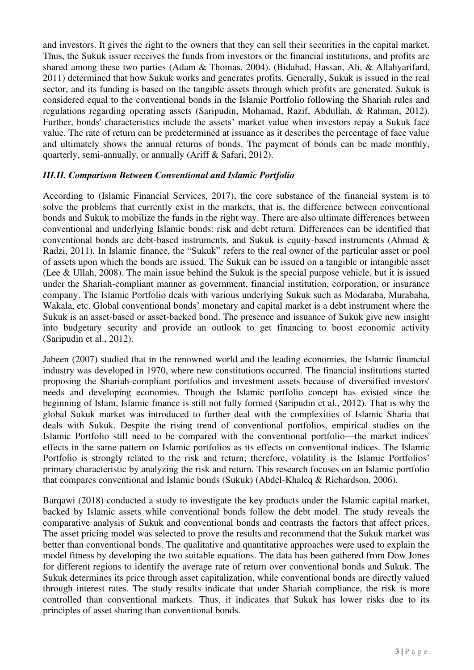and investors. It gives the right to the owners that they can sell their securities in the capital market. Thus, the Sukuk issuer receives the funds from investors or the financial institutions, and profits are shared among these two parties (Adam & Thomas, 2004). (Bidabad, Hassan, Ali, & Allahyarifard, 2011) determined that how Sukuk works and generates profits. Generally, Sukuk is issued in the real sector, and its funding is based on the tangible assets through which profits are generated. Sukuk is considered equal to the conventional bonds in the Islamic Portfolio following the Shariah rules and regulations regarding operating assets (Saripudin, Mohamad, Razif, Abdullah, & Rahman, 2012). Further, bonds' characteristics include the assets' market value when investors repay a Sukuk face value. The rate of return can be predetermined at issuance as it describes the percentage of face value and ultimately shows the annual returns of bonds. The payment of bonds can be made monthly, quarterly, semi-annually, or annually (Ariff & Safari, 2012).

# *III.II. Comparison Between Conventional and Islamic Portfolio*

According to (Islamic Financial Services, 2017), the core substance of the financial system is to solve the problems that currently exist in the markets, that is, the difference between conventional bonds and Sukuk to mobilize the funds in the right way. There are also ultimate differences between conventional and underlying Islamic bonds: risk and debt return. Differences can be identified that conventional bonds are debt-based instruments, and Sukuk is equity-based instruments (Ahmad & Radzi, 2011). In Islamic finance, the "Sukuk" refers to the real owner of the particular asset or pool of assets upon which the bonds are issued. The Sukuk can be issued on a tangible or intangible asset (Lee & Ullah, 2008). The main issue behind the Sukuk is the special purpose vehicle, but it is issued under the Shariah-compliant manner as government, financial institution, corporation, or insurance company. The Islamic Portfolio deals with various underlying Sukuk such as Modaraba, Murabaha, Wakala, etc. Global conventional bonds' monetary and capital market is a debt instrument where the Sukuk is an asset-based or asset-backed bond. The presence and issuance of Sukuk give new insight into budgetary security and provide an outlook to get financing to boost economic activity (Saripudin et al., 2012).

Jabeen (2007) studied that in the renowned world and the leading economies, the Islamic financial industry was developed in 1970, where new constitutions occurred. The financial institutions started proposing the Shariah-compliant portfolios and investment assets because of diversified investors' needs and developing economies. Though the Islamic portfolio concept has existed since the beginning of Islam, Islamic finance is still not fully formed (Saripudin et al., 2012). That is why the global Sukuk market was introduced to further deal with the complexities of Islamic Sharia that deals with Sukuk. Despite the rising trend of conventional portfolios, empirical studies on the Islamic Portfolio still need to be compared with the conventional portfolio—the market indices' effects in the same pattern on Islamic portfolios as its effects on conventional indices. The Islamic Portfolio is strongly related to the risk and return; therefore, volatility is the Islamic Portfolios' primary characteristic by analyzing the risk and return. This research focuses on an Islamic portfolio that compares conventional and Islamic bonds (Sukuk) (Abdel-Khaleq & Richardson, 2006).

Barqawi (2018) conducted a study to investigate the key products under the Islamic capital market, backed by Islamic assets while conventional bonds follow the debt model. The study reveals the comparative analysis of Sukuk and conventional bonds and contrasts the factors that affect prices. The asset pricing model was selected to prove the results and recommend that the Sukuk market was better than conventional bonds. The qualitative and quantitative approaches were used to explain the model fitness by developing the two suitable equations. The data has been gathered from Dow Jones for different regions to identify the average rate of return over conventional bonds and Sukuk. The Sukuk determines its price through asset capitalization, while conventional bonds are directly valued through interest rates. The study results indicate that under Shariah compliance, the risk is more controlled than conventional markets. Thus, it indicates that Sukuk has lower risks due to its principles of asset sharing than conventional bonds.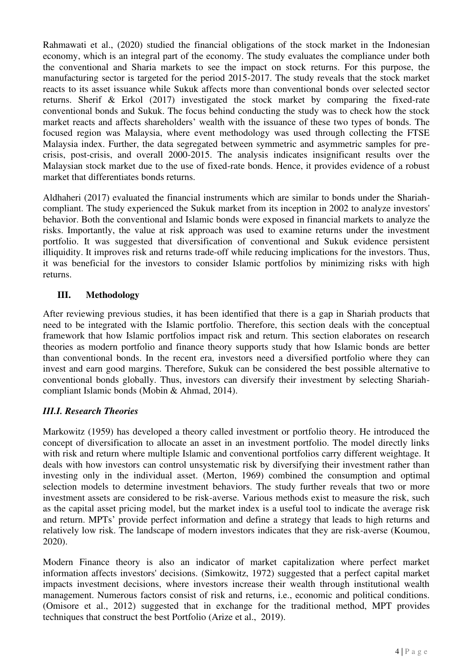Rahmawati et al., (2020) studied the financial obligations of the stock market in the Indonesian economy, which is an integral part of the economy. The study evaluates the compliance under both the conventional and Sharia markets to see the impact on stock returns. For this purpose, the manufacturing sector is targeted for the period 2015-2017. The study reveals that the stock market reacts to its asset issuance while Sukuk affects more than conventional bonds over selected sector returns. Sherif & Erkol (2017) investigated the stock market by comparing the fixed-rate conventional bonds and Sukuk. The focus behind conducting the study was to check how the stock market reacts and affects shareholders' wealth with the issuance of these two types of bonds. The focused region was Malaysia, where event methodology was used through collecting the FTSE Malaysia index. Further, the data segregated between symmetric and asymmetric samples for precrisis, post-crisis, and overall 2000-2015. The analysis indicates insignificant results over the Malaysian stock market due to the use of fixed-rate bonds. Hence, it provides evidence of a robust market that differentiates bonds returns.

Aldhaheri (2017) evaluated the financial instruments which are similar to bonds under the Shariahcompliant. The study experienced the Sukuk market from its inception in 2002 to analyze investors' behavior. Both the conventional and Islamic bonds were exposed in financial markets to analyze the risks. Importantly, the value at risk approach was used to examine returns under the investment portfolio. It was suggested that diversification of conventional and Sukuk evidence persistent illiquidity. It improves risk and returns trade-off while reducing implications for the investors. Thus, it was beneficial for the investors to consider Islamic portfolios by minimizing risks with high returns.

# **III. Methodology**

After reviewing previous studies, it has been identified that there is a gap in Shariah products that need to be integrated with the Islamic portfolio. Therefore, this section deals with the conceptual framework that how Islamic portfolios impact risk and return. This section elaborates on research theories as modern portfolio and finance theory supports study that how Islamic bonds are better than conventional bonds. In the recent era, investors need a diversified portfolio where they can invest and earn good margins. Therefore, Sukuk can be considered the best possible alternative to conventional bonds globally. Thus, investors can diversify their investment by selecting Shariahcompliant Islamic bonds (Mobin & Ahmad, 2014).

# *III.I. Research Theories*

Markowitz (1959) has developed a theory called investment or portfolio theory. He introduced the concept of diversification to allocate an asset in an investment portfolio. The model directly links with risk and return where multiple Islamic and conventional portfolios carry different weightage. It deals with how investors can control unsystematic risk by diversifying their investment rather than investing only in the individual asset. (Merton, 1969) combined the consumption and optimal selection models to determine investment behaviors. The study further reveals that two or more investment assets are considered to be risk-averse. Various methods exist to measure the risk, such as the capital asset pricing model, but the market index is a useful tool to indicate the average risk and return. MPTs' provide perfect information and define a strategy that leads to high returns and relatively low risk. The landscape of modern investors indicates that they are risk-averse (Koumou, 2020).

Modern Finance theory is also an indicator of market capitalization where perfect market information affects investors' decisions. (Simkowitz, 1972) suggested that a perfect capital market impacts investment decisions, where investors increase their wealth through institutional wealth management. Numerous factors consist of risk and returns, i.e., economic and political conditions. (Omisore et al., 2012) suggested that in exchange for the traditional method, MPT provides techniques that construct the best Portfolio (Arize et al., 2019).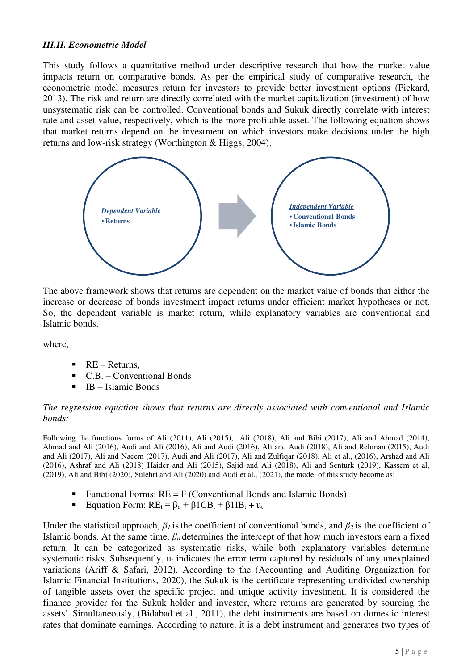# *III.II. Econometric Model*

This study follows a quantitative method under descriptive research that how the market value impacts return on comparative bonds. As per the empirical study of comparative research, the econometric model measures return for investors to provide better investment options (Pickard, 2013). The risk and return are directly correlated with the market capitalization (investment) of how unsystematic risk can be controlled. Conventional bonds and Sukuk directly correlate with interest rate and asset value, respectively, which is the more profitable asset. The following equation shows that market returns depend on the investment on which investors make decisions under the high returns and low-risk strategy (Worthington & Higgs, 2004).



The above framework shows that returns are dependent on the market value of bonds that either the increase or decrease of bonds investment impact returns under efficient market hypotheses or not. So, the dependent variable is market return, while explanatory variables are conventional and Islamic bonds.

where,

- $\blacksquare$  RE Returns,
- C.B. Conventional Bonds
- IB Islamic Bonds

#### *The regression equation shows that returns are directly associated with conventional and Islamic bonds:*

Following the functions forms of Ali (2011), Ali (2015), Ali (2018), Ali and Bibi (2017), Ali and Ahmad (2014), Ahmad and Ali (2016), Audi and Ali (2016), Ali and Audi (2016), Ali and Audi (2018), Ali and Rehman (2015), Audi and Ali (2017), Ali and Naeem (2017), Audi and Ali (2017), Ali and Zulfiqar (2018), Ali et al., (2016), Arshad and Ali (2016), Ashraf and Ali (2018) Haider and Ali (2015), Sajid and Ali (2018), Ali and Senturk (2019), Kassem et al, (2019), Ali and Bibi (2020), Sulehri and Ali (2020) and Audi et al., (2021), the model of this study become as:

- Functional Forms:  $RE = F$  (Conventional Bonds and Islamic Bonds)
- **Equation Form:**  $RE_t = \beta_0 + \beta_1 C B_t + \beta_1 I B_t + u_t$

Under the statistical approach,  $\beta_l$  is the coefficient of conventional bonds, and  $\beta_2$  is the coefficient of Islamic bonds. At the same time, *βο* determines the intercept of that how much investors earn a fixed return. It can be categorized as systematic risks, while both explanatory variables determine systematic risks. Subsequently, u<sub>t</sub> indicates the error term captured by residuals of any unexplained variations (Ariff & Safari, 2012). According to the (Accounting and Auditing Organization for Islamic Financial Institutions, 2020), the Sukuk is the certificate representing undivided ownership of tangible assets over the specific project and unique activity investment. It is considered the finance provider for the Sukuk holder and investor, where returns are generated by sourcing the assets'. Simultaneously, (Bidabad et al., 2011), the debt instruments are based on domestic interest rates that dominate earnings. According to nature, it is a debt instrument and generates two types of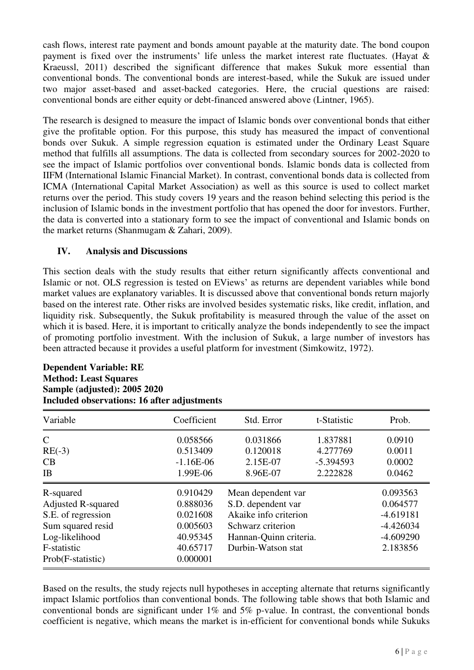cash flows, interest rate payment and bonds amount payable at the maturity date. The bond coupon payment is fixed over the instruments' life unless the market interest rate fluctuates. (Hayat & Kraeussl, 2011) described the significant difference that makes Sukuk more essential than conventional bonds. The conventional bonds are interest-based, while the Sukuk are issued under two major asset-based and asset-backed categories. Here, the crucial questions are raised: conventional bonds are either equity or debt-financed answered above (Lintner, 1965).

The research is designed to measure the impact of Islamic bonds over conventional bonds that either give the profitable option. For this purpose, this study has measured the impact of conventional bonds over Sukuk. A simple regression equation is estimated under the Ordinary Least Square method that fulfills all assumptions. The data is collected from secondary sources for 2002-2020 to see the impact of Islamic portfolios over conventional bonds. Islamic bonds data is collected from IIFM (International Islamic Financial Market). In contrast, conventional bonds data is collected from ICMA (International Capital Market Association) as well as this source is used to collect market returns over the period. This study covers 19 years and the reason behind selecting this period is the inclusion of Islamic bonds in the investment portfolio that has opened the door for investors. Further, the data is converted into a stationary form to see the impact of conventional and Islamic bonds on the market returns (Shanmugam & Zahari, 2009).

# **IV. Analysis and Discussions**

This section deals with the study results that either return significantly affects conventional and Islamic or not. OLS regression is tested on EViews' as returns are dependent variables while bond market values are explanatory variables. It is discussed above that conventional bonds return majorly based on the interest rate. Other risks are involved besides systematic risks, like credit, inflation, and liquidity risk. Subsequently, the Sukuk profitability is measured through the value of the asset on which it is based. Here, it is important to critically analyze the bonds independently to see the impact of promoting portfolio investment. With the inclusion of Sukuk, a large number of investors has been attracted because it provides a useful platform for investment (Simkowitz, 1972).

# **Dependent Variable: RE Method: Least Squares Sample (adjusted): 2005 2020 Included observations: 16 after adjustments**

| Variable                                                                                                                                | Coefficient                                                                      | Std. Error                                                                                                                             | t-Statistic                                     | Prob.                                                                         |
|-----------------------------------------------------------------------------------------------------------------------------------------|----------------------------------------------------------------------------------|----------------------------------------------------------------------------------------------------------------------------------------|-------------------------------------------------|-------------------------------------------------------------------------------|
| $\mathsf{C}$<br>$RE(-3)$<br>CB<br>IB                                                                                                    | 0.058566<br>0.513409<br>$-1.16E-06$<br>1.99E-06                                  | 0.031866<br>0.120018<br>2.15E-07<br>8.96E-07                                                                                           | 1.837881<br>4.277769<br>$-5.394593$<br>2.222828 | 0.0910<br>0.0011<br>0.0002<br>0.0462                                          |
| R-squared<br><b>Adjusted R-squared</b><br>S.E. of regression<br>Sum squared resid<br>Log-likelihood<br>F-statistic<br>Prob(F-statistic) | 0.910429<br>0.888036<br>0.021608<br>0.005603<br>40.95345<br>40.65717<br>0.000001 | Mean dependent var<br>S.D. dependent var<br>Akaike info criterion<br>Schwarz criterion<br>Hannan-Quinn criteria.<br>Durbin-Watson stat |                                                 | 0.093563<br>0.064577<br>$-4.619181$<br>$-4.426034$<br>$-4.609290$<br>2.183856 |

Based on the results, the study rejects null hypotheses in accepting alternate that returns significantly impact Islamic portfolios than conventional bonds. The following table shows that both Islamic and conventional bonds are significant under 1% and 5% p-value. In contrast, the conventional bonds coefficient is negative, which means the market is in-efficient for conventional bonds while Sukuks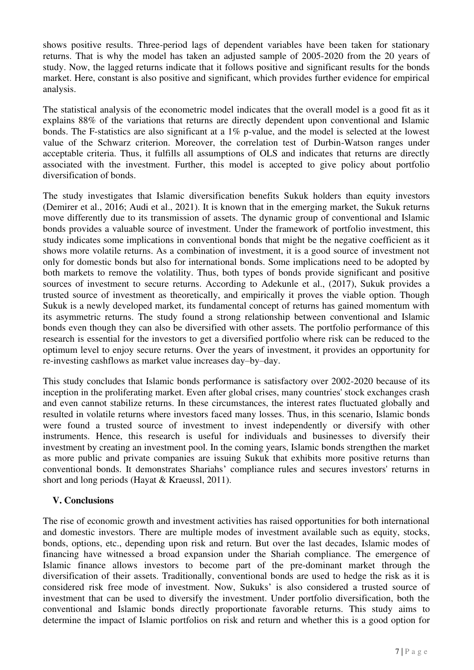shows positive results. Three-period lags of dependent variables have been taken for stationary returns. That is why the model has taken an adjusted sample of 2005-2020 from the 20 years of study. Now, the lagged returns indicate that it follows positive and significant results for the bonds market. Here, constant is also positive and significant, which provides further evidence for empirical analysis.

The statistical analysis of the econometric model indicates that the overall model is a good fit as it explains 88% of the variations that returns are directly dependent upon conventional and Islamic bonds. The F-statistics are also significant at a 1% p-value, and the model is selected at the lowest value of the Schwarz criterion. Moreover, the correlation test of Durbin-Watson ranges under acceptable criteria. Thus, it fulfills all assumptions of OLS and indicates that returns are directly associated with the investment. Further, this model is accepted to give policy about portfolio diversification of bonds.

The study investigates that Islamic diversification benefits Sukuk holders than equity investors (Demirer et al., 2016; Audi et al., 2021). It is known that in the emerging market, the Sukuk returns move differently due to its transmission of assets. The dynamic group of conventional and Islamic bonds provides a valuable source of investment. Under the framework of portfolio investment, this study indicates some implications in conventional bonds that might be the negative coefficient as it shows more volatile returns. As a combination of investment, it is a good source of investment not only for domestic bonds but also for international bonds. Some implications need to be adopted by both markets to remove the volatility. Thus, both types of bonds provide significant and positive sources of investment to secure returns. According to Adekunle et al., (2017), Sukuk provides a trusted source of investment as theoretically, and empirically it proves the viable option. Though Sukuk is a newly developed market, its fundamental concept of returns has gained momentum with its asymmetric returns. The study found a strong relationship between conventional and Islamic bonds even though they can also be diversified with other assets. The portfolio performance of this research is essential for the investors to get a diversified portfolio where risk can be reduced to the optimum level to enjoy secure returns. Over the years of investment, it provides an opportunity for re-investing cashflows as market value increases day–by–day.

This study concludes that Islamic bonds performance is satisfactory over 2002-2020 because of its inception in the proliferating market. Even after global crises, many countries' stock exchanges crash and even cannot stabilize returns. In these circumstances, the interest rates fluctuated globally and resulted in volatile returns where investors faced many losses. Thus, in this scenario, Islamic bonds were found a trusted source of investment to invest independently or diversify with other instruments. Hence, this research is useful for individuals and businesses to diversify their investment by creating an investment pool. In the coming years, Islamic bonds strengthen the market as more public and private companies are issuing Sukuk that exhibits more positive returns than conventional bonds. It demonstrates Shariahs' compliance rules and secures investors' returns in short and long periods (Hayat & Kraeussl, 2011).

# **V. Conclusions**

The rise of economic growth and investment activities has raised opportunities for both international and domestic investors. There are multiple modes of investment available such as equity, stocks, bonds, options, etc., depending upon risk and return. But over the last decades, Islamic modes of financing have witnessed a broad expansion under the Shariah compliance. The emergence of Islamic finance allows investors to become part of the pre-dominant market through the diversification of their assets. Traditionally, conventional bonds are used to hedge the risk as it is considered risk free mode of investment. Now, Sukuks' is also considered a trusted source of investment that can be used to diversify the investment. Under portfolio diversification, both the conventional and Islamic bonds directly proportionate favorable returns. This study aims to determine the impact of Islamic portfolios on risk and return and whether this is a good option for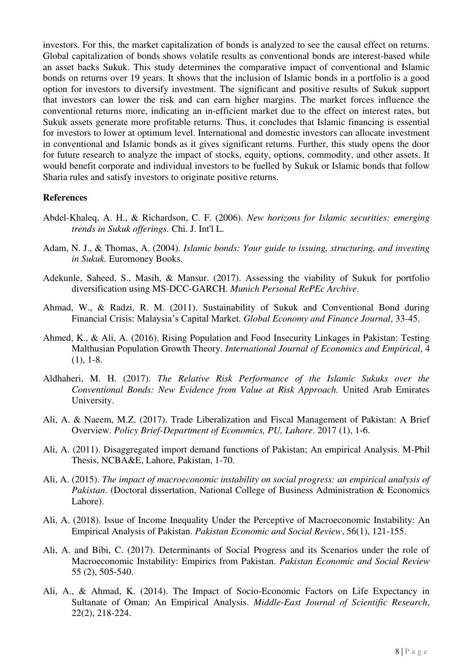investors. For this, the market capitalization of bonds is analyzed to see the causal effect on returns. Global capitalization of bonds shows volatile results as conventional bonds are interest-based while an asset backs Sukuk. This study determines the comparative impact of conventional and Islamic bonds on returns over 19 years. It shows that the inclusion of Islamic bonds in a portfolio is a good option for investors to diversify investment. The significant and positive results of Sukuk support that investors can lower the risk and can earn higher margins. The market forces influence the conventional returns more, indicating an in-efficient market due to the effect on interest rates, but Sukuk assets generate more profitable returns. Thus, it concludes that Islamic financing is essential for investors to lower at optimum level. International and domestic investors can allocate investment in conventional and Islamic bonds as it gives significant returns. Further, this study opens the door for future research to analyze the impact of stocks, equity, options, commodity, and other assets. It would benefit corporate and individual investors to be fuelled by Sukuk or Islamic bonds that follow Sharia rules and satisfy investors to originate positive returns.

#### **References**

- Abdel-Khaleq, A. H., & Richardson, C. F. (2006). *New horizons for Islamic securities: emerging trends in Sukuk offerings.* Chi. J. Int'l L.
- Adam, N. J., & Thomas, A. (2004). *Islamic bonds: Your guide to issuing, structuring, and investing in Sukuk.* Euromoney Books.
- Adekunle, Saheed, S., Masih, & Mansur. (2017). Assessing the viability of Sukuk for portfolio diversification using MS-DCC-GARCH. *Munich Personal RePEc Archive*.
- Ahmad, W., & Radzi, R. M. (2011). Sustainability of Sukuk and Conventional Bond during Financial Crisis: Malaysia's Capital Market. *Global Economy and Finance Journal*, 33-45.
- Ahmed, K., & Ali, A. (2016). Rising Population and Food Insecurity Linkages in Pakistan: Testing Malthusian Population Growth Theory. *International Journal of Economics and Empirical*, 4 (1), 1-8.
- Aldhaheri, M. H. (2017). *The Relative Risk Performance of the Islamic Sukuks over the Conventional Bonds: New Evidence from Value at Risk Approach.* United Arab Emirates University.
- Ali, A. & Naeem, M.Z. (2017). Trade Liberalization and Fiscal Management of Pakistan: A Brief Overview. *Policy Brief-Department of Economics, PU, Lahore*. 2017 (1), 1-6.
- Ali, A. (2011). Disaggregated import demand functions of Pakistan; An empirical Analysis. M-Phil Thesis, NCBA&E, Lahore, Pakistan, 1-70.
- Ali, A. (2015). *The impact of macroeconomic instability on social progress: an empirical analysis of Pakistan*. (Doctoral dissertation, National College of Business Administration & Economics Lahore).
- Ali, A. (2018). Issue of Income Inequality Under the Perceptive of Macroeconomic Instability: An Empirical Analysis of Pakistan. *Pakistan Economic and Social Review*, 56(1), 121-155.
- Ali, A. and Bibi, C. (2017). Determinants of Social Progress and its Scenarios under the role of Macroeconomic Instability: Empirics from Pakistan. *Pakistan Economic and Social Review* 55 (2), 505-540.
- Ali, A., & Ahmad, K. (2014). The Impact of Socio-Economic Factors on Life Expectancy in Sultanate of Oman: An Empirical Analysis. *Middle-East Journal of Scientific Research*, 22(2), 218-224.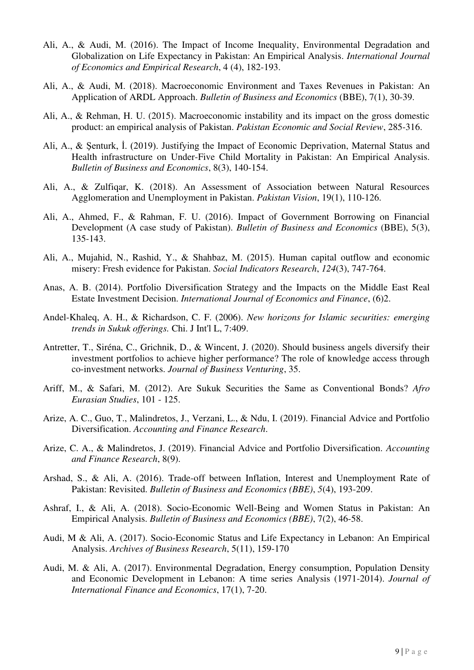- Ali, A., & Audi, M. (2016). The Impact of Income Inequality, Environmental Degradation and Globalization on Life Expectancy in Pakistan: An Empirical Analysis. *International Journal of Economics and Empirical Research*, 4 (4), 182-193.
- Ali, A., & Audi, M. (2018). Macroeconomic Environment and Taxes Revenues in Pakistan: An Application of ARDL Approach. *Bulletin of Business and Economics* (BBE), 7(1), 30-39.
- Ali, A., & Rehman, H. U. (2015). Macroeconomic instability and its impact on the gross domestic product: an empirical analysis of Pakistan. *Pakistan Economic and Social Review*, 285-316.
- Ali, A., & Şenturk, İ. (2019). Justifying the Impact of Economic Deprivation, Maternal Status and Health infrastructure on Under-Five Child Mortality in Pakistan: An Empirical Analysis. *Bulletin of Business and Economics*, 8(3), 140-154.
- Ali, A., & Zulfiqar, K. (2018). An Assessment of Association between Natural Resources Agglomeration and Unemployment in Pakistan. *Pakistan Vision*, 19(1), 110-126.
- Ali, A., Ahmed, F., & Rahman, F. U. (2016). Impact of Government Borrowing on Financial Development (A case study of Pakistan). *Bulletin of Business and Economics* (BBE), 5(3), 135-143.
- Ali, A., Mujahid, N., Rashid, Y., & Shahbaz, M. (2015). Human capital outflow and economic misery: Fresh evidence for Pakistan. *Social Indicators Research*, *124*(3), 747-764.
- Anas, A. B. (2014). Portfolio Diversification Strategy and the Impacts on the Middle East Real Estate Investment Decision. *International Journal of Economics and Finance*, (6)2.
- Andel-Khaleq, A. H., & Richardson, C. F. (2006). *New horizons for Islamic securities: emerging trends in Sukuk offerings.* Chi. J Int'l L, 7:409.
- Antretter, T., Siréna, C., Grichnik, D., & Wincent, J. (2020). Should business angels diversify their investment portfolios to achieve higher performance? The role of knowledge access through co-investment networks. *Journal of Business Venturing*, 35.
- Ariff, M., & Safari, M. (2012). Are Sukuk Securities the Same as Conventional Bonds? *Afro Eurasian Studies*, 101 - 125.
- Arize, A. C., Guo, T., Malindretos, J., Verzani, L., & Ndu, I. (2019). Financial Advice and Portfolio Diversification. *Accounting and Finance Research*.
- Arize, C. A., & Malindretos, J. (2019). Financial Advice and Portfolio Diversification. *Accounting and Finance Research*, 8(9).
- Arshad, S., & Ali, A. (2016). Trade-off between Inflation, Interest and Unemployment Rate of Pakistan: Revisited. *Bulletin of Business and Economics (BBE)*, *5*(4), 193-209.
- Ashraf, I., & Ali, A. (2018). Socio-Economic Well-Being and Women Status in Pakistan: An Empirical Analysis. *Bulletin of Business and Economics (BBE)*, 7(2), 46-58.
- Audi, M & Ali, A. (2017). Socio-Economic Status and Life Expectancy in Lebanon: An Empirical Analysis. *Archives of Business Research*, 5(11), 159-170
- Audi, M. & Ali, A. (2017). Environmental Degradation, Energy consumption, Population Density and Economic Development in Lebanon: A time series Analysis (1971-2014). *Journal of International Finance and Economics*, 17(1), 7-20.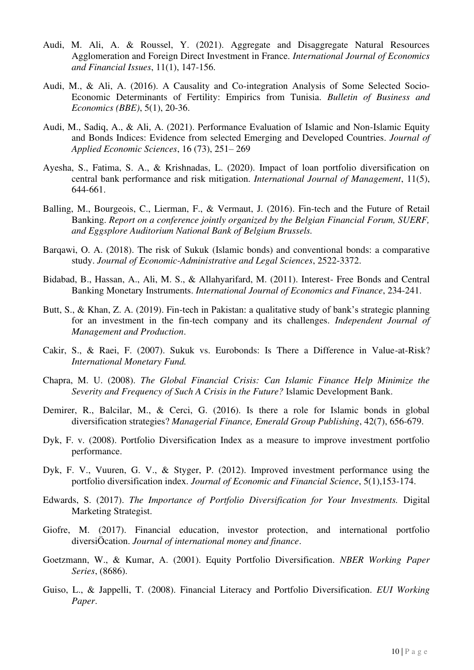- Audi, M. Ali, A. & Roussel, Y. (2021). Aggregate and Disaggregate Natural Resources Agglomeration and Foreign Direct Investment in France. *International Journal of Economics and Financial Issues*, 11(1), 147-156.
- Audi, M., & Ali, A. (2016). A Causality and Co-integration Analysis of Some Selected Socio-Economic Determinants of Fertility: Empirics from Tunisia. *Bulletin of Business and Economics (BBE)*, 5(1), 20-36.
- Audi, M., Sadiq, A., & Ali, A. (2021). Performance Evaluation of Islamic and Non-Islamic Equity and Bonds Indices: Evidence from selected Emerging and Developed Countries. *Journal of Applied Economic Sciences*, 16 (73), 251– 269
- Ayesha, S., Fatima, S. A., & Krishnadas, L. (2020). Impact of loan portfolio diversification on central bank performance and risk mitigation. *International Journal of Management*, 11(5), 644-661.
- Balling, M., Bourgeois, C., Lierman, F., & Vermaut, J. (2016). Fin-tech and the Future of Retail Banking. *Report on a conference jointly organized by the Belgian Financial Forum, SUERF, and Eggsplore Auditorium National Bank of Belgium Brussels.*
- Barqawi, O. A. (2018). The risk of Sukuk (Islamic bonds) and conventional bonds: a comparative study. *Journal of Economic-Administrative and Legal Sciences*, 2522-3372.
- Bidabad, B., Hassan, A., Ali, M. S., & Allahyarifard, M. (2011). Interest- Free Bonds and Central Banking Monetary Instruments. *International Journal of Economics and Finance*, 234-241.
- Butt, S., & Khan, Z. A. (2019). Fin-tech in Pakistan: a qualitative study of bank's strategic planning for an investment in the fin-tech company and its challenges. *Independent Journal of Management and Production*.
- Cakir, S., & Raei, F. (2007). Sukuk vs. Eurobonds: Is There a Difference in Value-at-Risk? *International Monetary Fund.*
- Chapra, M. U. (2008). *The Global Financial Crisis: Can Islamic Finance Help Minimize the Severity and Frequency of Such A Crisis in the Future?* Islamic Development Bank.
- Demirer, R., Balcilar, M., & Cerci, G. (2016). Is there a role for Islamic bonds in global diversification strategies? *Managerial Finance, Emerald Group Publishing*, 42(7), 656-679.
- Dyk, F. v. (2008). Portfolio Diversification Index as a measure to improve investment portfolio performance.
- Dyk, F. V., Vuuren, G. V., & Styger, P. (2012). Improved investment performance using the portfolio diversification index. *Journal of Economic and Financial Science*, 5(1),153-174.
- Edwards, S. (2017). *The Importance of Portfolio Diversification for Your Investments.* Digital Marketing Strategist.
- Giofre, M. (2017). Financial education, investor protection, and international portfolio diversiÖcation. *Journal of international money and finance*.
- Goetzmann, W., & Kumar, A. (2001). Equity Portfolio Diversification. *NBER Working Paper Series*, (8686).
- Guiso, L., & Jappelli, T. (2008). Financial Literacy and Portfolio Diversification. *EUI Working Paper*.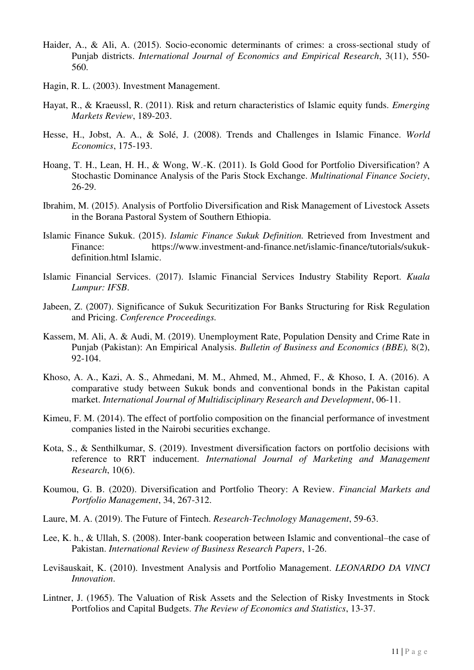- Haider, A., & Ali, A. (2015). Socio-economic determinants of crimes: a cross-sectional study of Punjab districts. *International Journal of Economics and Empirical Research*, 3(11), 550- 560.
- Hagin, R. L. (2003). Investment Management.
- Hayat, R., & Kraeussl, R. (2011). Risk and return characteristics of Islamic equity funds. *Emerging Markets Review*, 189-203.
- Hesse, H., Jobst, A. A., & Solé, J. (2008). Trends and Challenges in Islamic Finance. *World Economics*, 175-193.
- Hoang, T. H., Lean, H. H., & Wong, W.-K. (2011). Is Gold Good for Portfolio Diversification? A Stochastic Dominance Analysis of the Paris Stock Exchange. *Multinational Finance Society*, 26-29.
- Ibrahim, M. (2015). Analysis of Portfolio Diversification and Risk Management of Livestock Assets in the Borana Pastoral System of Southern Ethiopia.
- Islamic Finance Sukuk. (2015). *Islamic Finance Sukuk Definition.* Retrieved from Investment and Finance: https://www.investment-and-finance.net/islamic-finance/tutorials/sukukdefinition.html Islamic.
- Islamic Financial Services. (2017). Islamic Financial Services Industry Stability Report. *Kuala Lumpur: IFSB*.
- Jabeen, Z. (2007). Significance of Sukuk Securitization For Banks Structuring for Risk Regulation and Pricing. *Conference Proceedings.*
- Kassem, M. Ali, A. & Audi, M. (2019). [Unemployment Rate, Population Density and Crime Rate in](javascript:void(0))  [Punjab \(Pakistan\): An Empirical Analysis.](javascript:void(0)) *Bulletin of Business and Economics (BBE),* 8(2), 92-104.
- Khoso, A. A., Kazi, A. S., Ahmedani, M. M., Ahmed, M., Ahmed, F., & Khoso, I. A. (2016). A comparative study between Sukuk bonds and conventional bonds in the Pakistan capital market. *International Journal of Multidisciplinary Research and Development*, 06-11.
- Kimeu, F. M. (2014). The effect of portfolio composition on the financial performance of investment companies listed in the Nairobi securities exchange.
- Kota, S., & Senthilkumar, S. (2019). Investment diversification factors on portfolio decisions with reference to RRT inducement. *International Journal of Marketing and Management Research*, 10(6).
- Koumou, G. B. (2020). Diversification and Portfolio Theory: A Review. *Financial Markets and Portfolio Management*, 34, 267-312.
- Laure, M. A. (2019). The Future of Fintech. *Research-Technology Management*, 59-63.
- Lee, K. h., & Ullah, S. (2008). Inter-bank cooperation between Islamic and conventional–the case of Pakistan. *International Review of Business Research Papers*, 1-26.
- Levišauskait, K. (2010). Investment Analysis and Portfolio Management. *LEONARDO DA VINCI Innovation*.
- Lintner, J. (1965). The Valuation of Risk Assets and the Selection of Risky Investments in Stock Portfolios and Capital Budgets. *The Review of Economics and Statistics*, 13-37.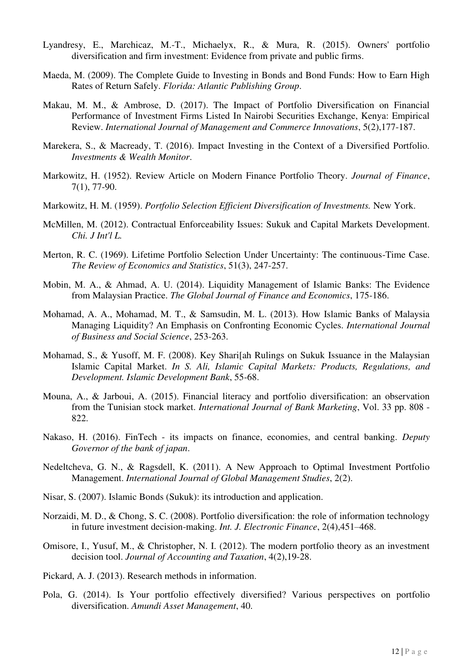- Lyandresy, E., Marchicaz, M.-T., Michaelyx, R., & Mura, R. (2015). Owners' portfolio diversification and firm investment: Evidence from private and public firms.
- Maeda, M. (2009). The Complete Guide to Investing in Bonds and Bond Funds: How to Earn High Rates of Return Safely. *Florida: Atlantic Publishing Group*.
- Makau, M. M., & Ambrose, D. (2017). The Impact of Portfolio Diversification on Financial Performance of Investment Firms Listed In Nairobi Securities Exchange, Kenya: Empirical Review. *International Journal of Management and Commerce Innovations*, 5(2),177-187.
- Marekera, S., & Macready, T. (2016). Impact Investing in the Context of a Diversified Portfolio. *Investments & Wealth Monitor*.
- Markowitz, H. (1952). Review Article on Modern Finance Portfolio Theory. *Journal of Finance*, 7(1), 77-90.
- Markowitz, H. M. (1959). *Portfolio Selection Efficient Diversification of Investments.* New York.
- McMillen, M. (2012). Contractual Enforceability Issues: Sukuk and Capital Markets Development. *Chi. J Int'l L.*
- Merton, R. C. (1969). Lifetime Portfolio Selection Under Uncertainty: The continuous-Time Case. *The Review of Economics and Statistics*, 51(3), 247-257.
- Mobin, M. A., & Ahmad, A. U. (2014). Liquidity Management of Islamic Banks: The Evidence from Malaysian Practice. *The Global Journal of Finance and Economics*, 175-186.
- Mohamad, A. A., Mohamad, M. T., & Samsudin, M. L. (2013). How Islamic Banks of Malaysia Managing Liquidity? An Emphasis on Confronting Economic Cycles. *International Journal of Business and Social Science*, 253-263.
- Mohamad, S., & Yusoff, M. F. (2008). Key Shari[ah Rulings on Sukuk Issuance in the Malaysian Islamic Capital Market. *In S. Ali, Islamic Capital Markets: Products, Regulations, and Development. Islamic Development Bank*, 55-68.
- Mouna, A., & Jarboui, A. (2015). Financial literacy and portfolio diversification: an observation from the Tunisian stock market. *International Journal of Bank Marketing*, Vol. 33 pp. 808 - 822.
- Nakaso, H. (2016). FinTech its impacts on finance, economies, and central banking. *Deputy Governor of the bank of japan*.
- Nedeltcheva, G. N., & Ragsdell, K. (2011). A New Approach to Optimal Investment Portfolio Management. *International Journal of Global Management Studies*, 2(2).
- Nisar, S. (2007). Islamic Bonds (Sukuk): its introduction and application.
- Norzaidi, M. D., & Chong, S. C. (2008). Portfolio diversification: the role of information technology in future investment decision-making. *Int. J. Electronic Finance*, 2(4),451–468.
- Omisore, I., Yusuf, M., & Christopher, N. I. (2012). The modern portfolio theory as an investment decision tool. *Journal of Accounting and Taxation*, 4(2),19-28.
- Pickard, A. J. (2013). Research methods in information.
- Pola, G. (2014). Is Your portfolio effectively diversified? Various perspectives on portfolio diversification. *Amundi Asset Management*, 40.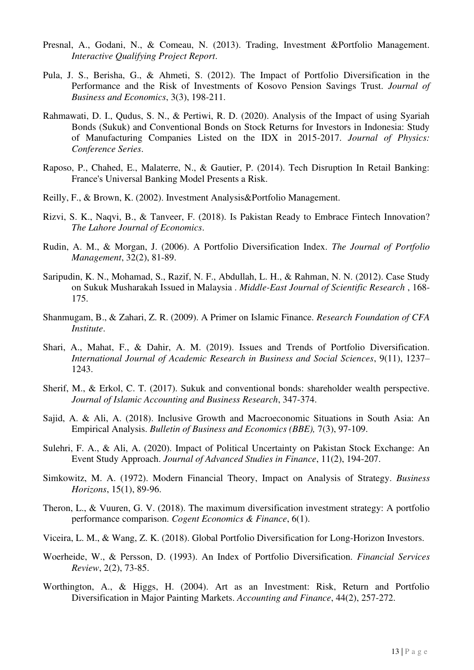- Presnal, A., Godani, N., & Comeau, N. (2013). Trading, Investment &Portfolio Management. *Interactive Qualifying Project Report*.
- Pula, J. S., Berisha, G., & Ahmeti, S. (2012). The Impact of Portfolio Diversification in the Performance and the Risk of Investments of Kosovo Pension Savings Trust. *Journal of Business and Economics*, 3(3), 198-211.
- Rahmawati, D. I., Qudus, S. N., & Pertiwi, R. D. (2020). Analysis of the Impact of using Syariah Bonds (Sukuk) and Conventional Bonds on Stock Returns for Investors in Indonesia: Study of Manufacturing Companies Listed on the IDX in 2015-2017. *Journal of Physics: Conference Series*.
- Raposo, P., Chahed, E., Malaterre, N., & Gautier, P. (2014). Tech Disruption In Retail Banking: France's Universal Banking Model Presents a Risk.
- Reilly, F., & Brown, K. (2002). Investment Analysis&Portfolio Management.
- Rizvi, S. K., Naqvi, B., & Tanveer, F. (2018). Is Pakistan Ready to Embrace Fintech Innovation? *The Lahore Journal of Economics*.
- Rudin, A. M., & Morgan, J. (2006). A Portfolio Diversification Index. *The Journal of Portfolio Management*, 32(2), 81-89.
- Saripudin, K. N., Mohamad, S., Razif, N. F., Abdullah, L. H., & Rahman, N. N. (2012). Case Study on Sukuk Musharakah Issued in Malaysia . *Middle-East Journal of Scientific Research* , 168- 175.
- Shanmugam, B., & Zahari, Z. R. (2009). A Primer on Islamic Finance. *Research Foundation of CFA Institute*.
- Shari, A., Mahat, F., & Dahir, A. M. (2019). Issues and Trends of Portfolio Diversification. *International Journal of Academic Research in Business and Social Sciences*, 9(11), 1237– 1243.
- Sherif, M., & Erkol, C. T. (2017). Sukuk and conventional bonds: shareholder wealth perspective. *Journal of Islamic Accounting and Business Research*, 347-374.
- Sajid, A. & Ali, A. (2018). Inclusive Growth and Macroeconomic Situations in South Asia: An Empirical Analysis. *Bulletin of Business and Economics (BBE),* 7(3), 97-109.
- Sulehri, F. A., & Ali, A. (2020). Impact of Political Uncertainty on Pakistan Stock Exchange: An Event Study Approach. *Journal of Advanced Studies in Finance*, 11(2), 194-207.
- Simkowitz, M. A. (1972). Modern Financial Theory, Impact on Analysis of Strategy. *Business Horizons*, 15(1), 89-96.
- Theron, L., & Vuuren, G. V. (2018). The maximum diversification investment strategy: A portfolio performance comparison. *Cogent Economics & Finance*, 6(1).
- Viceira, L. M., & Wang, Z. K. (2018). Global Portfolio Diversification for Long-Horizon Investors.
- Woerheide, W., & Persson, D. (1993). An Index of Portfolio Diversification. *Financial Services Review*, 2(2), 73-85.
- Worthington, A., & Higgs, H. (2004). Art as an Investment: Risk, Return and Portfolio Diversification in Major Painting Markets. *Accounting and Finance*, 44(2), 257-272.